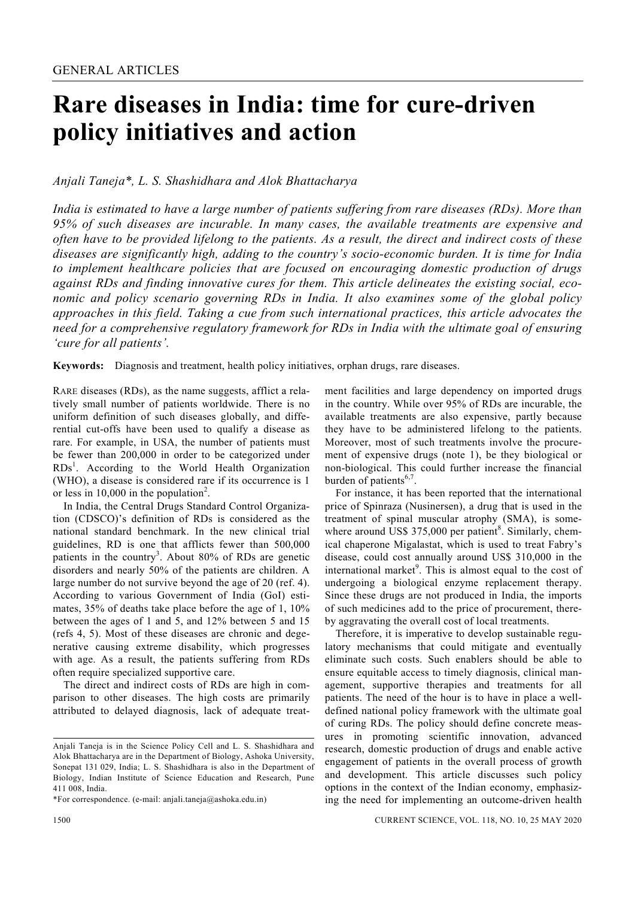# **Rare diseases in India: time for cure-driven policy initiatives and action**

# *Anjali Taneja\*, L. S. Shashidhara and Alok Bhattacharya*

*India is estimated to have a large number of patients suffering from rare diseases (RDs). More than 95% of such diseases are incurable. In many cases, the available treatments are expensive and often have to be provided lifelong to the patients. As a result, the direct and indirect costs of these diseases are significantly high, adding to the country's socio-economic burden. It is time for India to implement healthcare policies that are focused on encouraging domestic production of drugs against RDs and finding innovative cures for them. This article delineates the existing social, economic and policy scenario governing RDs in India. It also examines some of the global policy approaches in this field. Taking a cue from such international practices, this article advocates the need for a comprehensive regulatory framework for RDs in India with the ultimate goal of ensuring 'cure for all patients'.* 

**Keywords:** Diagnosis and treatment, health policy initiatives, orphan drugs, rare diseases.

RARE diseases (RDs), as the name suggests, afflict a relatively small number of patients worldwide. There is no uniform definition of such diseases globally, and differential cut-offs have been used to qualify a disease as rare. For example, in USA, the number of patients must be fewer than 200,000 in order to be categorized under  $RDs<sup>1</sup>$ . According to the World Health Organization (WHO), a disease is considered rare if its occurrence is 1 or less in 10,000 in the population<sup>2</sup>.

 In India, the Central Drugs Standard Control Organization (CDSCO)'s definition of RDs is considered as the national standard benchmark. In the new clinical trial guidelines, RD is one that afflicts fewer than 500,000 patients in the country<sup>3</sup>. About 80% of RDs are genetic disorders and nearly 50% of the patients are children. A large number do not survive beyond the age of 20 (ref. 4). According to various Government of India (GoI) estimates, 35% of deaths take place before the age of 1, 10% between the ages of 1 and 5, and 12% between 5 and 15 (refs 4, 5). Most of these diseases are chronic and degenerative causing extreme disability, which progresses with age. As a result, the patients suffering from RDs often require specialized supportive care.

 The direct and indirect costs of RDs are high in comparison to other diseases. The high costs are primarily attributed to delayed diagnosis, lack of adequate treatment facilities and large dependency on imported drugs in the country. While over 95% of RDs are incurable, the available treatments are also expensive, partly because they have to be administered lifelong to the patients. Moreover, most of such treatments involve the procurement of expensive drugs (note 1), be they biological or non-biological. This could further increase the financial burden of patients $6,7$ .

 For instance, it has been reported that the international price of Spinraza (Nusinersen), a drug that is used in the treatment of spinal muscular atrophy (SMA), is somewhere around US\$ 375,000 per patient<sup>8</sup>. Similarly, chemical chaperone Migalastat, which is used to treat Fabry's disease, could cost annually around US\$ 310,000 in the international market $9$ . This is almost equal to the cost of undergoing a biological enzyme replacement therapy. Since these drugs are not produced in India, the imports of such medicines add to the price of procurement, thereby aggravating the overall cost of local treatments.

 Therefore, it is imperative to develop sustainable regulatory mechanisms that could mitigate and eventually eliminate such costs. Such enablers should be able to ensure equitable access to timely diagnosis, clinical management, supportive therapies and treatments for all patients. The need of the hour is to have in place a welldefined national policy framework with the ultimate goal of curing RDs. The policy should define concrete measures in promoting scientific innovation, advanced research, domestic production of drugs and enable active engagement of patients in the overall process of growth and development. This article discusses such policy options in the context of the Indian economy, emphasizing the need for implementing an outcome-driven health

Anjali Taneja is in the Science Policy Cell and L. S. Shashidhara and Alok Bhattacharya are in the Department of Biology, Ashoka University, Sonepat 131 029, India; L. S. Shashidhara is also in the Department of Biology, Indian Institute of Science Education and Research, Pune 411 008, India.

<sup>\*</sup>For correspondence. (e-mail: anjali.taneja@ashoka.edu.in)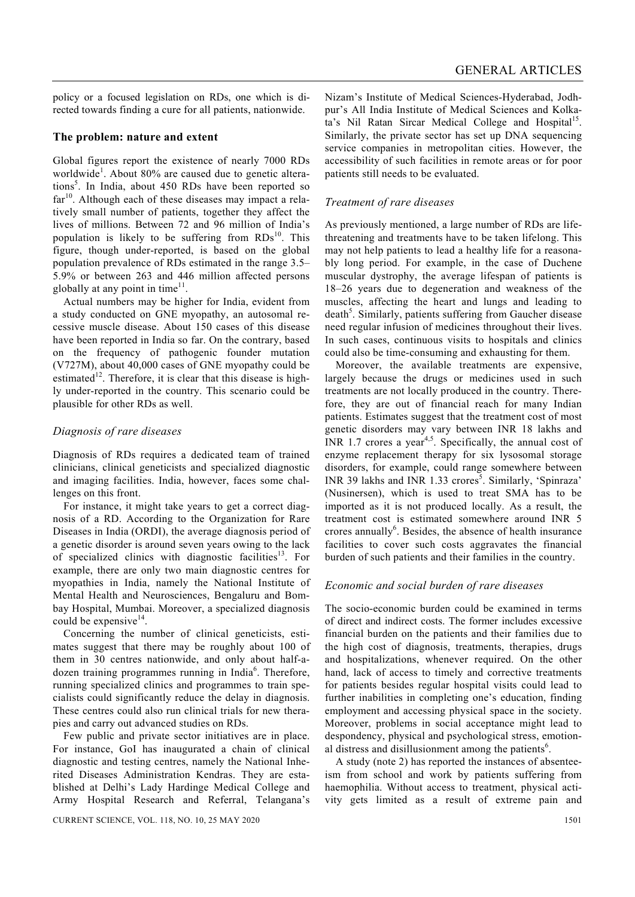policy or a focused legislation on RDs, one which is directed towards finding a cure for all patients, nationwide.

#### **The problem: nature and extent**

Global figures report the existence of nearly 7000 RDs worldwide<sup>1</sup>. About 80% are caused due to genetic alterations<sup>5</sup>. In India, about 450 RDs have been reported so  $far<sup>10</sup>$ . Although each of these diseases may impact a relatively small number of patients, together they affect the lives of millions. Between 72 and 96 million of India's population is likely to be suffering from  $RDs<sup>10</sup>$ . This figure, though under-reported, is based on the global population prevalence of RDs estimated in the range 3.5– 5.9% or between 263 and 446 million affected persons globally at any point in time $11$ .

 Actual numbers may be higher for India, evident from a study conducted on GNE myopathy, an autosomal recessive muscle disease. About 150 cases of this disease have been reported in India so far. On the contrary, based on the frequency of pathogenic founder mutation (V727M), about 40,000 cases of GNE myopathy could be estimated<sup>12</sup>. Therefore, it is clear that this disease is highly under-reported in the country. This scenario could be plausible for other RDs as well.

### *Diagnosis of rare diseases*

Diagnosis of RDs requires a dedicated team of trained clinicians, clinical geneticists and specialized diagnostic and imaging facilities. India, however, faces some challenges on this front.

 For instance, it might take years to get a correct diagnosis of a RD. According to the Organization for Rare Diseases in India (ORDI), the average diagnosis period of a genetic disorder is around seven years owing to the lack of specialized clinics with diagnostic facilities<sup>13</sup>. For example, there are only two main diagnostic centres for myopathies in India, namely the National Institute of Mental Health and Neurosciences, Bengaluru and Bombay Hospital, Mumbai. Moreover, a specialized diagnosis could be expensive<sup>14</sup>.

 Concerning the number of clinical geneticists, estimates suggest that there may be roughly about 100 of them in 30 centres nationwide, and only about half-adozen training programmes running in India<sup>6</sup>. Therefore, running specialized clinics and programmes to train specialists could significantly reduce the delay in diagnosis. These centres could also run clinical trials for new therapies and carry out advanced studies on RDs.

 Few public and private sector initiatives are in place. For instance, GoI has inaugurated a chain of clinical diagnostic and testing centres, namely the National Inherited Diseases Administration Kendras. They are established at Delhi's Lady Hardinge Medical College and Army Hospital Research and Referral, Telangana's Nizam's Institute of Medical Sciences-Hyderabad, Jodhpur's All India Institute of Medical Sciences and Kolkata's Nil Ratan Sircar Medical College and Hospital<sup>15</sup>. Similarly, the private sector has set up DNA sequencing service companies in metropolitan cities. However, the accessibility of such facilities in remote areas or for poor patients still needs to be evaluated.

#### *Treatment of rare diseases*

As previously mentioned, a large number of RDs are lifethreatening and treatments have to be taken lifelong. This may not help patients to lead a healthy life for a reasonably long period. For example, in the case of Duchene muscular dystrophy, the average lifespan of patients is 18–26 years due to degeneration and weakness of the muscles, affecting the heart and lungs and leading to death<sup>5</sup>. Similarly, patients suffering from Gaucher disease need regular infusion of medicines throughout their lives. In such cases, continuous visits to hospitals and clinics could also be time-consuming and exhausting for them.

 Moreover, the available treatments are expensive, largely because the drugs or medicines used in such treatments are not locally produced in the country. Therefore, they are out of financial reach for many Indian patients. Estimates suggest that the treatment cost of most genetic disorders may vary between INR 18 lakhs and INR  $1.7$  crores a year<sup>4,5</sup>. Specifically, the annual cost of enzyme replacement therapy for six lysosomal storage disorders, for example, could range somewhere between INR 39 lakhs and INR 1.33 crores<sup>5</sup>. Similarly, 'Spinraza' (Nusinersen), which is used to treat SMA has to be imported as it is not produced locally. As a result, the treatment cost is estimated somewhere around INR 5 crores annually<sup>6</sup>. Besides, the absence of health insurance facilities to cover such costs aggravates the financial burden of such patients and their families in the country.

#### *Economic and social burden of rare diseases*

The socio-economic burden could be examined in terms of direct and indirect costs. The former includes excessive financial burden on the patients and their families due to the high cost of diagnosis, treatments, therapies, drugs and hospitalizations, whenever required. On the other hand, lack of access to timely and corrective treatments for patients besides regular hospital visits could lead to further inabilities in completing one's education, finding employment and accessing physical space in the society. Moreover, problems in social acceptance might lead to despondency, physical and psychological stress, emotional distress and disillusionment among the patients<sup>6</sup>.

 A study (note 2) has reported the instances of absenteeism from school and work by patients suffering from haemophilia. Without access to treatment, physical activity gets limited as a result of extreme pain and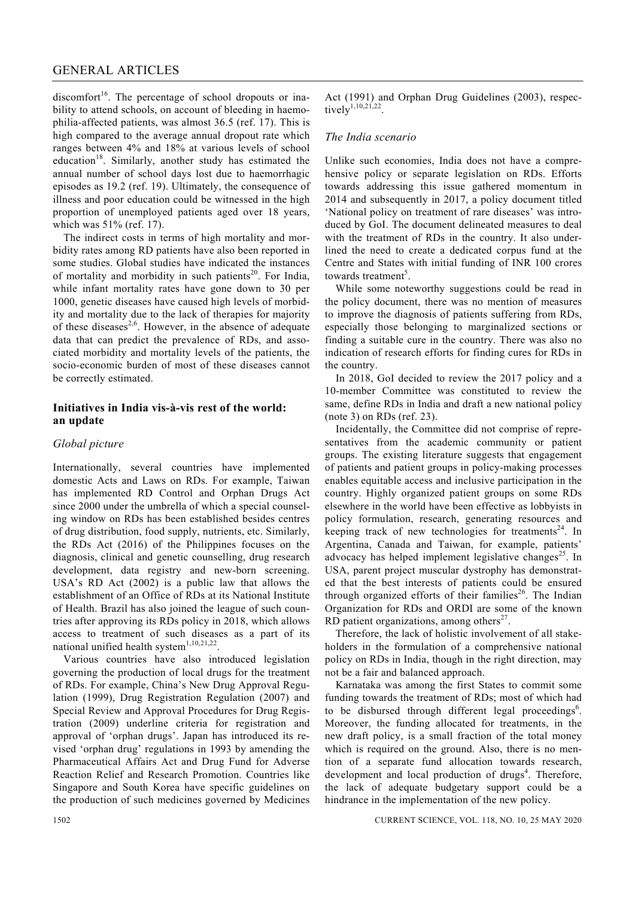## GENERAL ARTICLES

discomfort<sup>16</sup>. The percentage of school dropouts or inability to attend schools, on account of bleeding in haemophilia-affected patients, was almost 36.5 (ref. 17). This is high compared to the average annual dropout rate which ranges between 4% and 18% at various levels of school education<sup>18</sup>. Similarly, another study has estimated the annual number of school days lost due to haemorrhagic episodes as 19.2 (ref. 19). Ultimately, the consequence of illness and poor education could be witnessed in the high proportion of unemployed patients aged over 18 years, which was 51% (ref. 17).

 The indirect costs in terms of high mortality and morbidity rates among RD patients have also been reported in some studies. Global studies have indicated the instances of mortality and morbidity in such patients<sup>20</sup>. For India, while infant mortality rates have gone down to 30 per 1000, genetic diseases have caused high levels of morbidity and mortality due to the lack of therapies for majority of these diseases<sup>2,6</sup>. However, in the absence of adequate data that can predict the prevalence of RDs, and associated morbidity and mortality levels of the patients, the socio-economic burden of most of these diseases cannot be correctly estimated.

### **Initiatives in India vis-à-vis rest of the world: an update**

#### *Global picture*

Internationally, several countries have implemented domestic Acts and Laws on RDs. For example, Taiwan has implemented RD Control and Orphan Drugs Act since 2000 under the umbrella of which a special counseling window on RDs has been established besides centres of drug distribution, food supply, nutrients, etc. Similarly, the RDs Act (2016) of the Philippines focuses on the diagnosis, clinical and genetic counselling, drug research development, data registry and new-born screening. USA's RD Act (2002) is a public law that allows the establishment of an Office of RDs at its National Institute of Health. Brazil has also joined the league of such countries after approving its RDs policy in 2018, which allows access to treatment of such diseases as a part of its national unified health system $1,10,21,22$ .

 Various countries have also introduced legislation governing the production of local drugs for the treatment of RDs. For example, China's New Drug Approval Regulation (1999), Drug Registration Regulation (2007) and Special Review and Approval Procedures for Drug Registration (2009) underline criteria for registration and approval of 'orphan drugs'. Japan has introduced its revised 'orphan drug' regulations in 1993 by amending the Pharmaceutical Affairs Act and Drug Fund for Adverse Reaction Relief and Research Promotion. Countries like Singapore and South Korea have specific guidelines on the production of such medicines governed by Medicines

Act (1991) and Orphan Drug Guidelines (2003), respectively<sup>1,10,21,22</sup>

#### *The India scenario*

Unlike such economies, India does not have a comprehensive policy or separate legislation on RDs. Efforts towards addressing this issue gathered momentum in 2014 and subsequently in 2017, a policy document titled 'National policy on treatment of rare diseases' was introduced by GoI. The document delineated measures to deal with the treatment of RDs in the country. It also underlined the need to create a dedicated corpus fund at the Centre and States with initial funding of INR 100 crores towards treatment<sup>5</sup>.

 While some noteworthy suggestions could be read in the policy document, there was no mention of measures to improve the diagnosis of patients suffering from RDs, especially those belonging to marginalized sections or finding a suitable cure in the country. There was also no indication of research efforts for finding cures for RDs in the country.

 In 2018, GoI decided to review the 2017 policy and a 10-member Committee was constituted to review the same, define RDs in India and draft a new national policy (note 3) on RDs (ref. 23).

 Incidentally, the Committee did not comprise of representatives from the academic community or patient groups. The existing literature suggests that engagement of patients and patient groups in policy-making processes enables equitable access and inclusive participation in the country. Highly organized patient groups on some RDs elsewhere in the world have been effective as lobbyists in policy formulation, research, generating resources and keeping track of new technologies for treatments<sup>24</sup>. In Argentina, Canada and Taiwan, for example, patients' advocacy has helped implement legislative changes<sup>25</sup>. In USA, parent project muscular dystrophy has demonstrated that the best interests of patients could be ensured through organized efforts of their families<sup>26</sup>. The Indian Organization for RDs and ORDI are some of the known RD patient organizations, among others $27$ .

 Therefore, the lack of holistic involvement of all stakeholders in the formulation of a comprehensive national policy on RDs in India, though in the right direction, may not be a fair and balanced approach.

 Karnataka was among the first States to commit some funding towards the treatment of RDs; most of which had to be disbursed through different legal proceedings<sup>6</sup>. Moreover, the funding allocated for treatments, in the new draft policy, is a small fraction of the total money which is required on the ground. Also, there is no mention of a separate fund allocation towards research, development and local production of drugs<sup>4</sup>. Therefore, the lack of adequate budgetary support could be a hindrance in the implementation of the new policy.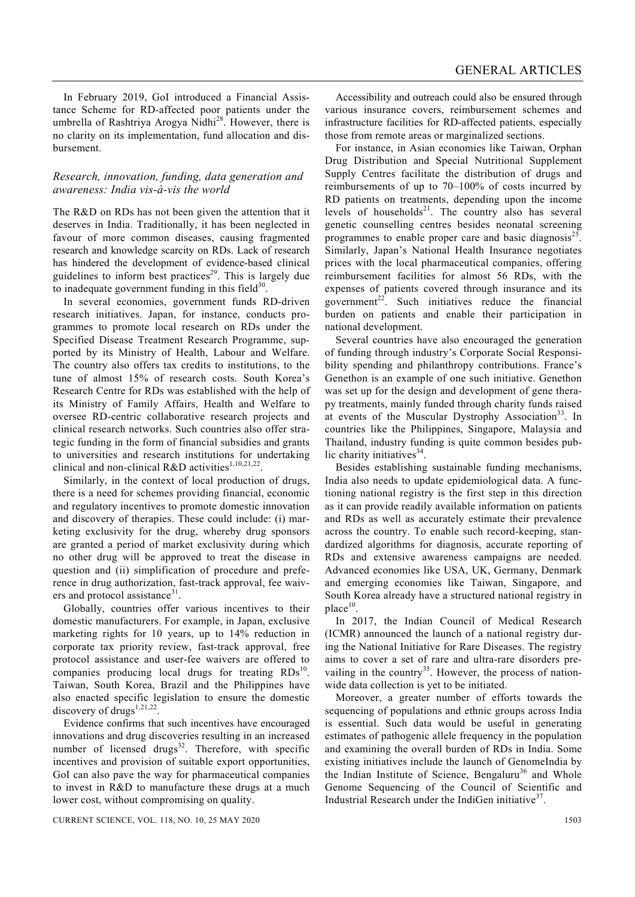In February 2019, GoI introduced a Financial Assistance Scheme for RD-affected poor patients under the umbrella of Rashtriya Arogya Nidhi $^{28}$ . However, there is no clarity on its implementation, fund allocation and disbursement.

#### *Research, innovation, funding, data generation and awareness: India vis-à-vis the world*

The R&D on RDs has not been given the attention that it deserves in India. Traditionally, it has been neglected in favour of more common diseases, causing fragmented research and knowledge scarcity on RDs. Lack of research has hindered the development of evidence-based clinical guidelines to inform best practices<sup>29</sup>. This is largely due to inadequate government funding in this field $30$ .

 In several economies, government funds RD-driven research initiatives. Japan, for instance, conducts programmes to promote local research on RDs under the Specified Disease Treatment Research Programme, supported by its Ministry of Health, Labour and Welfare. The country also offers tax credits to institutions, to the tune of almost 15% of research costs. South Korea's Research Centre for RDs was established with the help of its Ministry of Family Affairs, Health and Welfare to oversee RD-centric collaborative research projects and clinical research networks. Such countries also offer strategic funding in the form of financial subsidies and grants to universities and research institutions for undertaking clinical and non-clinical R&D activities<sup>1,10,21,22</sup>.

 Similarly, in the context of local production of drugs, there is a need for schemes providing financial, economic and regulatory incentives to promote domestic innovation and discovery of therapies. These could include: (i) marketing exclusivity for the drug, whereby drug sponsors are granted a period of market exclusivity during which no other drug will be approved to treat the disease in question and (ii) simplification of procedure and preference in drug authorization, fast-track approval, fee waivers and protocol assistance $31$ .

 Globally, countries offer various incentives to their domestic manufacturers. For example, in Japan, exclusive marketing rights for 10 years, up to 14% reduction in corporate tax priority review, fast-track approval, free protocol assistance and user-fee waivers are offered to companies producing local drugs for treating  $RDs<sup>10</sup>$ . Taiwan, South Korea, Brazil and the Philippines have also enacted specific legislation to ensure the domestic discovery of drugs<sup>1,21,22</sup>.

 Evidence confirms that such incentives have encouraged innovations and drug discoveries resulting in an increased number of licensed drugs $32$ . Therefore, with specific incentives and provision of suitable export opportunities, GoI can also pave the way for pharmaceutical companies to invest in R&D to manufacture these drugs at a much lower cost, without compromising on quality.

 Accessibility and outreach could also be ensured through various insurance covers, reimbursement schemes and infrastructure facilities for RD-affected patients, especially those from remote areas or marginalized sections.

 For instance, in Asian economies like Taiwan, Orphan Drug Distribution and Special Nutritional Supplement Supply Centres facilitate the distribution of drugs and reimbursements of up to 70–100% of costs incurred by RD patients on treatments, depending upon the income levels of households $^{21}$ . The country also has several genetic counselling centres besides neonatal screening programmes to enable proper care and basic diagnosis<sup>25</sup>. Similarly, Japan's National Health Insurance negotiates prices with the local pharmaceutical companies, offering reimbursement facilities for almost 56 RDs, with the expenses of patients covered through insurance and its government<sup>22</sup>. Such initiatives reduce the financial burden on patients and enable their participation in national development.

 Several countries have also encouraged the generation of funding through industry's Corporate Social Responsibility spending and philanthropy contributions. France's Genethon is an example of one such initiative. Genethon was set up for the design and development of gene therapy treatments, mainly funded through charity funds raised at events of the Muscular Dystrophy Association<sup>33</sup>. In countries like the Philippines, Singapore, Malaysia and Thailand, industry funding is quite common besides public charity initiatives $34$ .

 Besides establishing sustainable funding mechanisms, India also needs to update epidemiological data. A functioning national registry is the first step in this direction as it can provide readily available information on patients and RDs as well as accurately estimate their prevalence across the country. To enable such record-keeping, standardized algorithms for diagnosis, accurate reporting of RDs and extensive awareness campaigns are needed. Advanced economies like USA, UK, Germany, Denmark and emerging economies like Taiwan, Singapore, and South Korea already have a structured national registry in  $place<sup>10</sup>$ .

 In 2017, the Indian Council of Medical Research (ICMR) announced the launch of a national registry during the National Initiative for Rare Diseases. The registry aims to cover a set of rare and ultra-rare disorders prevailing in the country<sup>35</sup>. However, the process of nationwide data collection is yet to be initiated.

 Moreover, a greater number of efforts towards the sequencing of populations and ethnic groups across India is essential. Such data would be useful in generating estimates of pathogenic allele frequency in the population and examining the overall burden of RDs in India. Some existing initiatives include the launch of GenomeIndia by the Indian Institute of Science, Bengaluru<sup>36</sup> and Whole Genome Sequencing of the Council of Scientific and Industrial Research under the IndiGen initiative $3^7$ .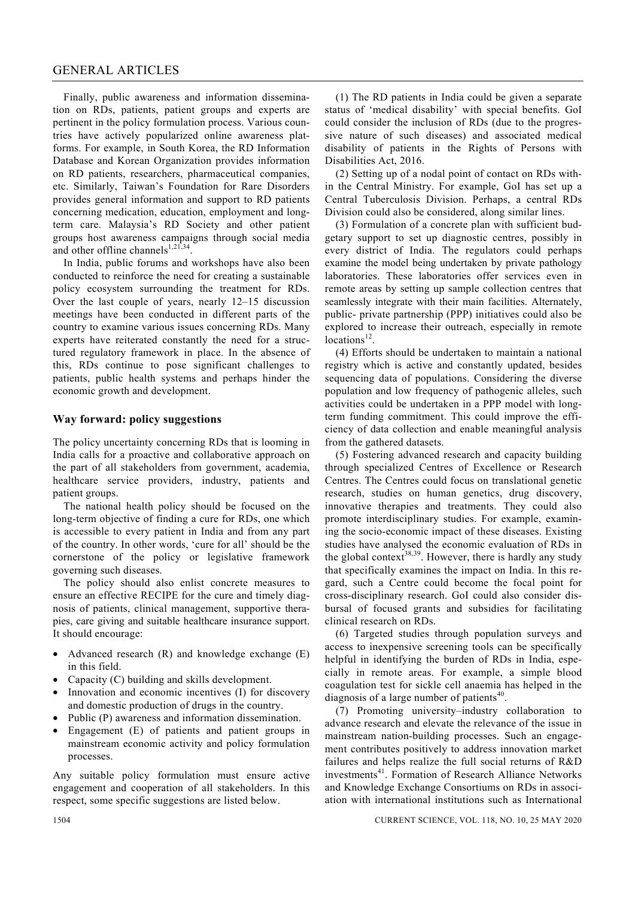#### GENERAL ARTICLES

 Finally, public awareness and information dissemination on RDs, patients, patient groups and experts are pertinent in the policy formulation process. Various countries have actively popularized online awareness platforms. For example, in South Korea, the RD Information Database and Korean Organization provides information on RD patients, researchers, pharmaceutical companies, etc. Similarly, Taiwan's Foundation for Rare Disorders provides general information and support to RD patients concerning medication, education, employment and longterm care. Malaysia's RD Society and other patient groups host awareness campaigns through social media and other offline channels<sup>1,21,34</sup>.

 In India, public forums and workshops have also been conducted to reinforce the need for creating a sustainable policy ecosystem surrounding the treatment for RDs. Over the last couple of years, nearly 12–15 discussion meetings have been conducted in different parts of the country to examine various issues concerning RDs. Many experts have reiterated constantly the need for a structured regulatory framework in place. In the absence of this, RDs continue to pose significant challenges to patients, public health systems and perhaps hinder the economic growth and development.

#### **Way forward: policy suggestions**

The policy uncertainty concerning RDs that is looming in India calls for a proactive and collaborative approach on the part of all stakeholders from government, academia, healthcare service providers, industry, patients and patient groups.

 The national health policy should be focused on the long-term objective of finding a cure for RDs, one which is accessible to every patient in India and from any part of the country. In other words, 'cure for all' should be the cornerstone of the policy or legislative framework governing such diseases.

 The policy should also enlist concrete measures to ensure an effective RECIPE for the cure and timely diagnosis of patients, clinical management, supportive therapies, care giving and suitable healthcare insurance support. It should encourage:

- Advanced research  $(R)$  and knowledge exchange  $(E)$ in this field.
- Capacity (C) building and skills development.
- Innovation and economic incentives (I) for discovery and domestic production of drugs in the country.
- Public (P) awareness and information dissemination.
- Engagement (E) of patients and patient groups in mainstream economic activity and policy formulation processes.

Any suitable policy formulation must ensure active engagement and cooperation of all stakeholders. In this respect, some specific suggestions are listed below.

 (1) The RD patients in India could be given a separate status of 'medical disability' with special benefits. GoI could consider the inclusion of RDs (due to the progressive nature of such diseases) and associated medical disability of patients in the Rights of Persons with Disabilities Act, 2016.

 (2) Setting up of a nodal point of contact on RDs within the Central Ministry. For example, GoI has set up a Central Tuberculosis Division. Perhaps, a central RDs Division could also be considered, along similar lines.

 (3) Formulation of a concrete plan with sufficient budgetary support to set up diagnostic centres, possibly in every district of India. The regulators could perhaps examine the model being undertaken by private pathology laboratories. These laboratories offer services even in remote areas by setting up sample collection centres that seamlessly integrate with their main facilities. Alternately, public- private partnership (PPP) initiatives could also be explored to increase their outreach, especially in remote locations<sup>12</sup>.

 (4) Efforts should be undertaken to maintain a national registry which is active and constantly updated, besides sequencing data of populations. Considering the diverse population and low frequency of pathogenic alleles, such activities could be undertaken in a PPP model with longterm funding commitment. This could improve the efficiency of data collection and enable meaningful analysis from the gathered datasets.

 (5) Fostering advanced research and capacity building through specialized Centres of Excellence or Research Centres. The Centres could focus on translational genetic research, studies on human genetics, drug discovery, innovative therapies and treatments. They could also promote interdisciplinary studies. For example, examining the socio-economic impact of these diseases. Existing studies have analysed the economic evaluation of RDs in the global context<sup>38,39</sup>. However, there is hardly any study that specifically examines the impact on India. In this regard, such a Centre could become the focal point for cross-disciplinary research. GoI could also consider disbursal of focused grants and subsidies for facilitating clinical research on RDs.

 (6) Targeted studies through population surveys and access to inexpensive screening tools can be specifically helpful in identifying the burden of RDs in India, especially in remote areas. For example, a simple blood coagulation test for sickle cell anaemia has helped in the diagnosis of a large number of patients<sup>40</sup>.

 (7) Promoting university–industry collaboration to advance research and elevate the relevance of the issue in mainstream nation-building processes. Such an engagement contributes positively to address innovation market failures and helps realize the full social returns of R&D investments<sup>41</sup>. Formation of Research Alliance Networks and Knowledge Exchange Consortiums on RDs in association with international institutions such as International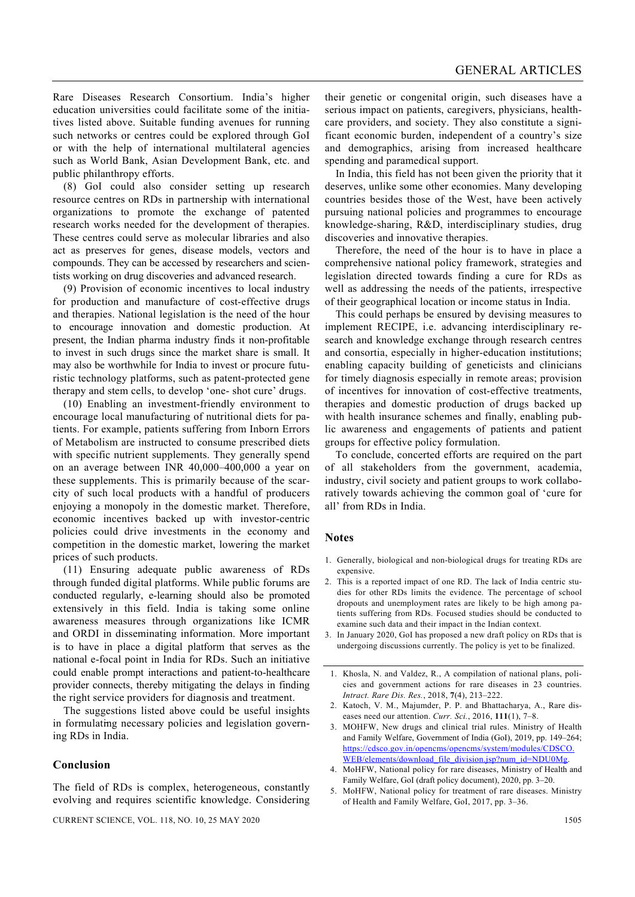Rare Diseases Research Consortium. India's higher education universities could facilitate some of the initiatives listed above. Suitable funding avenues for running such networks or centres could be explored through GoI or with the help of international multilateral agencies such as World Bank, Asian Development Bank, etc. and public philanthropy efforts.

 (8) GoI could also consider setting up research resource centres on RDs in partnership with international organizations to promote the exchange of patented research works needed for the development of therapies. These centres could serve as molecular libraries and also act as preserves for genes, disease models, vectors and compounds. They can be accessed by researchers and scientists working on drug discoveries and advanced research.

 (9) Provision of economic incentives to local industry for production and manufacture of cost-effective drugs and therapies. National legislation is the need of the hour to encourage innovation and domestic production. At present, the Indian pharma industry finds it non-profitable to invest in such drugs since the market share is small. It may also be worthwhile for India to invest or procure futuristic technology platforms, such as patent-protected gene therapy and stem cells, to develop 'one- shot cure' drugs.

 (10) Enabling an investment-friendly environment to encourage local manufacturing of nutritional diets for patients. For example, patients suffering from Inborn Errors of Metabolism are instructed to consume prescribed diets with specific nutrient supplements. They generally spend on an average between INR 40,000–400,000 a year on these supplements. This is primarily because of the scarcity of such local products with a handful of producers enjoying a monopoly in the domestic market. Therefore, economic incentives backed up with investor-centric policies could drive investments in the economy and competition in the domestic market, lowering the market prices of such products.

 (11) Ensuring adequate public awareness of RDs through funded digital platforms. While public forums are conducted regularly, e-learning should also be promoted extensively in this field. India is taking some online awareness measures through organizations like ICMR and ORDI in disseminating information. More important is to have in place a digital platform that serves as the national e-focal point in India for RDs. Such an initiative could enable prompt interactions and patient-to-healthcare provider connects, thereby mitigating the delays in finding the right service providers for diagnosis and treatment.

 The suggestions listed above could be useful insights in formulating necessary policies and legislation governing RDs in India.

#### **Conclusion**

their genetic or congenital origin, such diseases have a serious impact on patients, caregivers, physicians, healthcare providers, and society. They also constitute a significant economic burden, independent of a country's size and demographics, arising from increased healthcare spending and paramedical support.

 In India, this field has not been given the priority that it deserves, unlike some other economies. Many developing countries besides those of the West, have been actively pursuing national policies and programmes to encourage knowledge-sharing, R&D, interdisciplinary studies, drug discoveries and innovative therapies.

 Therefore, the need of the hour is to have in place a comprehensive national policy framework, strategies and legislation directed towards finding a cure for RDs as well as addressing the needs of the patients, irrespective of their geographical location or income status in India.

 This could perhaps be ensured by devising measures to implement RECIPE, i.e. advancing interdisciplinary research and knowledge exchange through research centres and consortia, especially in higher-education institutions; enabling capacity building of geneticists and clinicians for timely diagnosis especially in remote areas; provision of incentives for innovation of cost-effective treatments, therapies and domestic production of drugs backed up with health insurance schemes and finally, enabling public awareness and engagements of patients and patient groups for effective policy formulation.

 To conclude, concerted efforts are required on the part of all stakeholders from the government, academia, industry, civil society and patient groups to work collaboratively towards achieving the common goal of 'cure for all' from RDs in India.

#### **Notes**

- 1. Generally, biological and non-biological drugs for treating RDs are expensive.
- 2. This is a reported impact of one RD. The lack of India centric studies for other RDs limits the evidence. The percentage of school dropouts and unemployment rates are likely to be high among patients suffering from RDs. Focused studies should be conducted to examine such data and their impact in the Indian context.
- 3. In January 2020, GoI has proposed a new draft policy on RDs that is undergoing discussions currently. The policy is yet to be finalized.
- 1. Khosla, N. and Valdez, R., A compilation of national plans, policies and government actions for rare diseases in 23 countries. *Intract. Rare Dis. Res.*, 2018, **7**(4), 213–222.
- 2. Katoch, V. M., Majumder, P. P. and Bhattacharya, A., Rare diseases need our attention. *Curr. Sci.*, 2016, **111**(1), 7–8.
- 3. MOHFW, New drugs and clinical trial rules. Ministry of Health and Family Welfare, Government of India (GoI), 2019, pp. 149–264; https://cdsco.gov.in/opencms/opencms/system/modules/CDSCO. WEB/elements/download\_file\_division.jsp?num\_id=NDU0Mg.
- 4. MoHFW, National policy for rare diseases, Ministry of Health and Family Welfare, GoI (draft policy document), 2020, pp. 3–20.
- 5. MoHFW, National policy for treatment of rare diseases. Ministry of Health and Family Welfare, GoI, 2017, pp. 3–36.